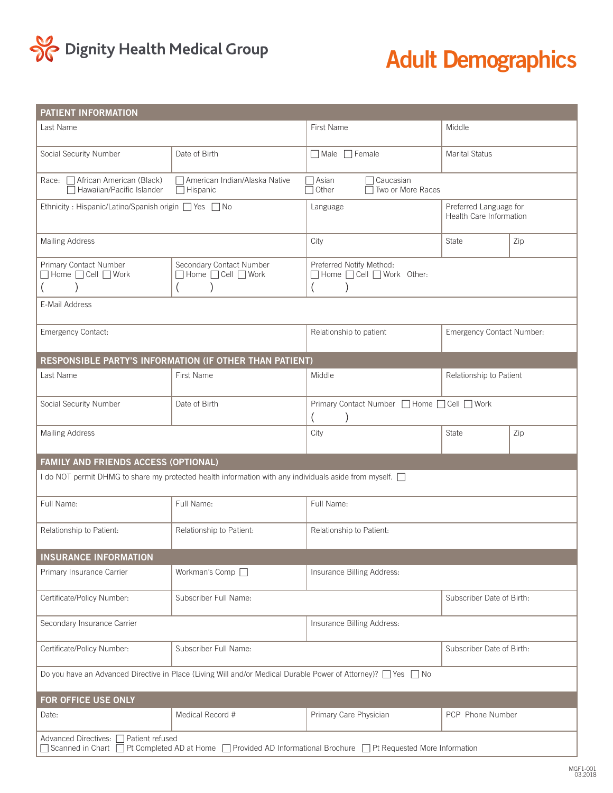

## **Adult Demographics**

| PATIENT INFORMATION                                                                                                                                         |                                                    |                                                           |                                                   |     |  |
|-------------------------------------------------------------------------------------------------------------------------------------------------------------|----------------------------------------------------|-----------------------------------------------------------|---------------------------------------------------|-----|--|
| Last Name                                                                                                                                                   |                                                    | First Name                                                | Middle                                            |     |  |
| Social Security Number                                                                                                                                      | Date of Birth                                      | Male Female                                               | <b>Marital Status</b>                             |     |  |
| African American (Black)<br>Race:<br>Hawaiian/Pacific Islander                                                                                              | 7 American Indian/Alaska Native<br>$\Box$ Hispanic | $\Box$ Asian<br>7 Caucasian<br>Other<br>Two or More Races |                                                   |     |  |
| Ethnicity : Hispanic/Latino/Spanish origin ■ Yes ■ No                                                                                                       |                                                    | Language                                                  | Preferred Language for<br>Health Care Information |     |  |
| <b>Mailing Address</b>                                                                                                                                      |                                                    | City                                                      | <b>State</b>                                      | Zip |  |
| Primary Contact Number<br>□ Home □ Cell □ Work                                                                                                              | Secondary Contact Number<br>Home C Cell Work       | Preferred Notify Method:<br>Home Cell Work Other:         |                                                   |     |  |
| E-Mail Address                                                                                                                                              |                                                    |                                                           |                                                   |     |  |
| Emergency Contact:                                                                                                                                          |                                                    | Relationship to patient                                   | Emergency Contact Number:                         |     |  |
| RESPONSIBLE PARTY'S INFORMATION (IF OTHER THAN PATIENT)                                                                                                     |                                                    |                                                           |                                                   |     |  |
| Last Name                                                                                                                                                   | First Name                                         | Middle                                                    | Relationship to Patient                           |     |  |
| Social Security Number                                                                                                                                      | Date of Birth                                      | Primary Contact Number □ Home □ Cell □ Work               |                                                   |     |  |
| <b>Mailing Address</b>                                                                                                                                      |                                                    | City                                                      | <b>State</b>                                      | Zip |  |
| FAMILY AND FRIENDS ACCESS (OPTIONAL)                                                                                                                        |                                                    |                                                           |                                                   |     |  |
| I do NOT permit DHMG to share my protected health information with any individuals aside from myself.                                                       |                                                    |                                                           |                                                   |     |  |
| Full Name:                                                                                                                                                  | Full Name:                                         | Full Name:                                                |                                                   |     |  |
| Relationship to Patient:                                                                                                                                    | Relationship to Patient:                           | Relationship to Patient:                                  |                                                   |     |  |
| <b>INSURANCE INFORMATION</b>                                                                                                                                |                                                    |                                                           |                                                   |     |  |
| Primary Insurance Carrier                                                                                                                                   | Workman's Comp □                                   | Insurance Billing Address:                                |                                                   |     |  |
| Certificate/Policy Number:                                                                                                                                  | Subscriber Full Name:                              |                                                           | Subscriber Date of Birth:                         |     |  |
| Secondary Insurance Carrier                                                                                                                                 |                                                    | Insurance Billing Address:                                |                                                   |     |  |
| Certificate/Policy Number:                                                                                                                                  | Subscriber Full Name:                              | Subscriber Date of Birth:                                 |                                                   |     |  |
| Do you have an Advanced Directive in Place (Living Will and/or Medical Durable Power of Attorney)? $\Box$ Yes $\Box$ No                                     |                                                    |                                                           |                                                   |     |  |
| FOR OFFICE USE ONLY                                                                                                                                         |                                                    |                                                           |                                                   |     |  |
| Date:                                                                                                                                                       | Medical Record #                                   | Primary Care Physician                                    | PCP Phone Number                                  |     |  |
| Advanced Directives: □ Patient refused<br>□ Scanned in Chart □ Pt Completed AD at Home □ Provided AD Informational Brochure □ Pt Requested More Information |                                                    |                                                           |                                                   |     |  |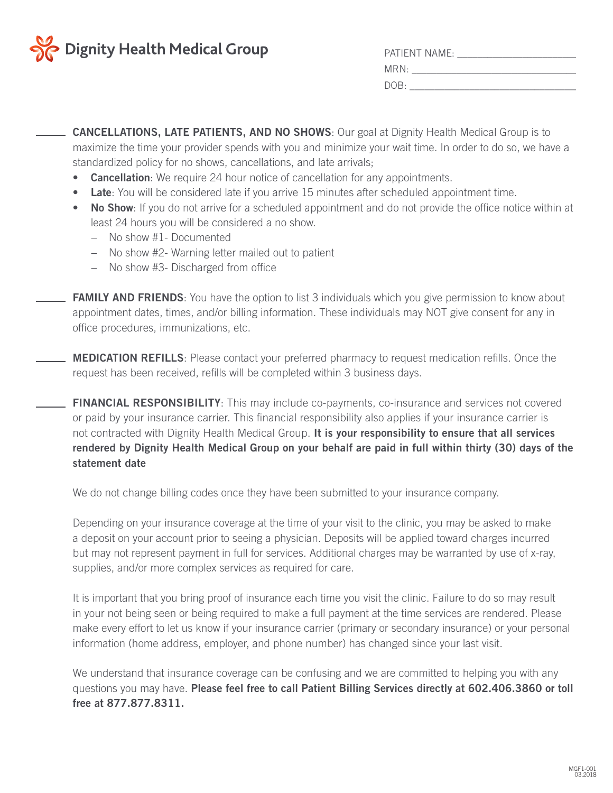

| <b>PATIENT NAME:</b> |
|----------------------|
| MRN:                 |
| DOB:                 |

**CANCELLATIONS, LATE PATIENTS, AND NO SHOWS**: Our goal at Dignity Health Medical Group is to maximize the time your provider spends with you and minimize your wait time. In order to do so, we have a standardized policy for no shows, cancellations, and late arrivals;

- **• Cancellation**: We require 24 hour notice of cancellation for any appointments.
- **• Late**: You will be considered late if you arrive 15 minutes after scheduled appointment time.
- **No Show**: If you do not arrive for a scheduled appointment and do not provide the office notice within at least 24 hours you will be considered a no show.
	- − No show #1- Documented
	- − No show #2- Warning letter mailed out to patient
	- − No show #3- Discharged from office
- **FAMILY AND FRIENDS**: You have the option to list 3 individuals which you give permission to know about appointment dates, times, and/or billing information. These individuals may NOT give consent for any in office procedures, immunizations, etc.
- **MEDICATION REFILLS**: Please contact your preferred pharmacy to request medication refills. Once the request has been received, refills will be completed within 3 business days.
	- **FINANCIAL RESPONSIBILITY**: This may include co-payments, co-insurance and services not covered or paid by your insurance carrier. This financial responsibility also applies if your insurance carrier is not contracted with Dignity Health Medical Group. **It is your responsibility to ensure that all services rendered by Dignity Health Medical Group on your behalf are paid in full within thirty (30) days of the statement date**

We do not change billing codes once they have been submitted to your insurance company.

Depending on your insurance coverage at the time of your visit to the clinic, you may be asked to make a deposit on your account prior to seeing a physician. Deposits will be applied toward charges incurred but may not represent payment in full for services. Additional charges may be warranted by use of x-ray, supplies, and/or more complex services as required for care.

It is important that you bring proof of insurance each time you visit the clinic. Failure to do so may result in your not being seen or being required to make a full payment at the time services are rendered. Please make every effort to let us know if your insurance carrier (primary or secondary insurance) or your personal information (home address, employer, and phone number) has changed since your last visit.

We understand that insurance coverage can be confusing and we are committed to helping you with any questions you may have. **Please feel free to call Patient Billing Services directly at 602.406.3860 or toll free at 877.877.8311.**